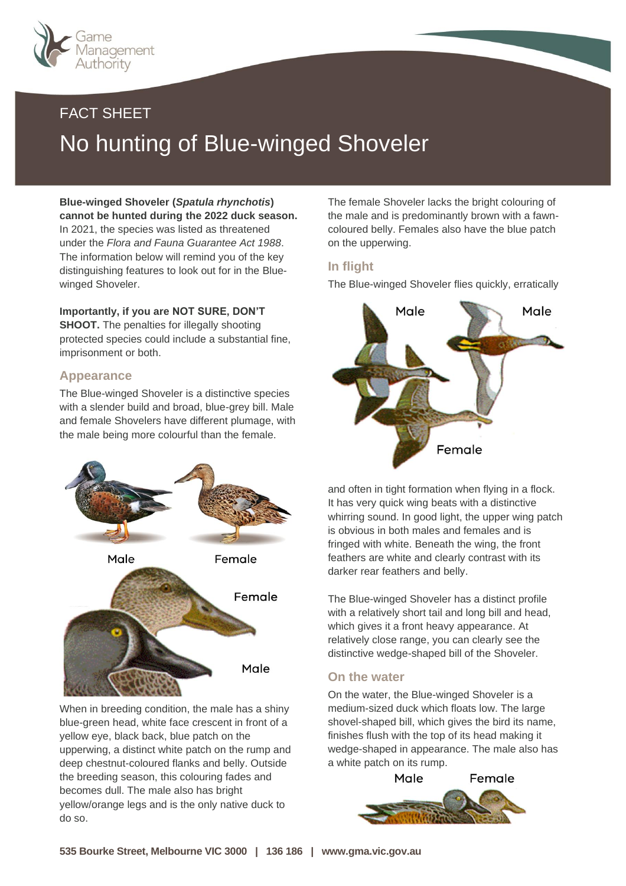

# FACT SHEET No hunting of Blue-winged Shoveler

**Blue-winged Shoveler (***Spatula rhynchotis***) cannot be hunted during the 2022 duck season.** In 2021, the species was listed as threatened under the *Flora and Fauna Guarantee Act 1988*. The information below will remind you of the key distinguishing features to look out for in the Bluewinged Shoveler.

## **Importantly, if you are NOT SURE, DON'T**

**SHOOT.** The penalties for illegally shooting protected species could include a substantial fine, imprisonment or both.

### **Appearance**

The Blue-winged Shoveler is a distinctive species with a slender build and broad, blue-grey bill. Male and female Shovelers have different plumage, with the male being more colourful than the female.



When in breeding condition, the male has a shiny blue-green head, white face crescent in front of a yellow eye, black back, blue patch on the upperwing, a distinct white patch on the rump and deep chestnut-coloured flanks and belly. Outside the breeding season, this colouring fades and becomes dull. The male also has bright yellow/orange legs and is the only native duck to do so.

The female Shoveler lacks the bright colouring of the male and is predominantly brown with a fawncoloured belly. Females also have the blue patch on the upperwing.

### **In flight**

The Blue-winged Shoveler flies quickly, erratically



and often in tight formation when flying in a flock. It has very quick wing beats with a distinctive whirring sound. In good light, the upper wing patch is obvious in both males and females and is fringed with white. Beneath the wing, the front feathers are white and clearly contrast with its darker rear feathers and belly.

The Blue-winged Shoveler has a distinct profile with a relatively short tail and long bill and head, which gives it a front heavy appearance. At relatively close range, you can clearly see the distinctive wedge-shaped bill of the Shoveler.

#### **On the water**

On the water, the Blue-winged Shoveler is a medium-sized duck which floats low. The large shovel-shaped bill, which gives the bird its name, finishes flush with the top of its head making it wedge-shaped in appearance. The male also has a white patch on its rump.